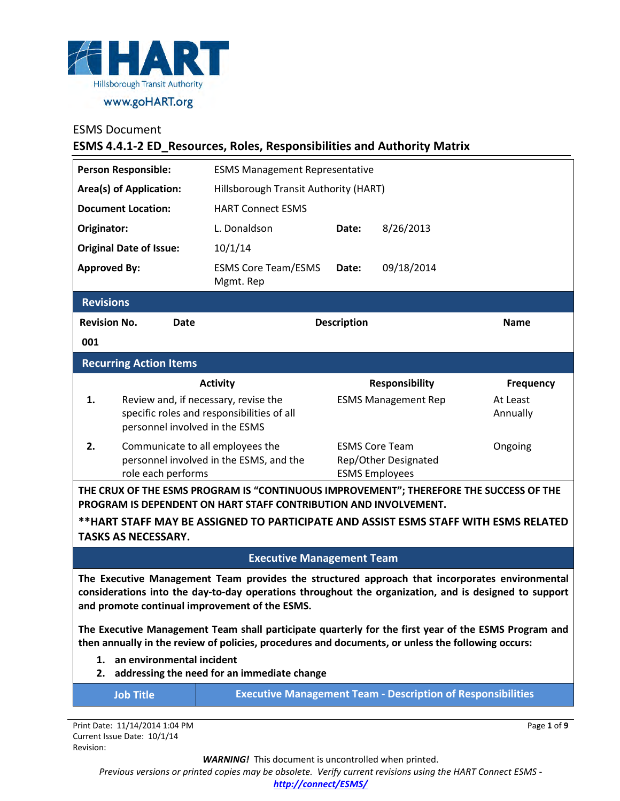

#### **ESMS 4.4.1-2 ED\_Resources, Roles, Responsibilities and Authority Matrix**

| <b>Person Responsible:</b>                                                                                                                                                                              |                                                                                     |      | <b>ESMS Management Representative</b>                                        |                                               |                            |             |
|---------------------------------------------------------------------------------------------------------------------------------------------------------------------------------------------------------|-------------------------------------------------------------------------------------|------|------------------------------------------------------------------------------|-----------------------------------------------|----------------------------|-------------|
| <b>Area(s) of Application:</b>                                                                                                                                                                          |                                                                                     |      | Hillsborough Transit Authority (HART)                                        |                                               |                            |             |
| <b>Document Location:</b>                                                                                                                                                                               |                                                                                     |      | <b>HART Connect ESMS</b>                                                     |                                               |                            |             |
| Originator:                                                                                                                                                                                             |                                                                                     |      | L. Donaldson                                                                 | Date:                                         | 8/26/2013                  |             |
| <b>Original Date of Issue:</b>                                                                                                                                                                          |                                                                                     |      | 10/1/14                                                                      |                                               |                            |             |
| <b>Approved By:</b>                                                                                                                                                                                     |                                                                                     |      | <b>ESMS Core Team/ESMS</b><br>Mgmt. Rep                                      | Date:                                         | 09/18/2014                 |             |
| <b>Revisions</b>                                                                                                                                                                                        |                                                                                     |      |                                                                              |                                               |                            |             |
| <b>Revision No.</b>                                                                                                                                                                                     |                                                                                     | Date |                                                                              | <b>Description</b>                            |                            | <b>Name</b> |
| 001                                                                                                                                                                                                     |                                                                                     |      |                                                                              |                                               |                            |             |
|                                                                                                                                                                                                         | <b>Recurring Action Items</b>                                                       |      |                                                                              |                                               |                            |             |
|                                                                                                                                                                                                         |                                                                                     |      | <b>Activity</b>                                                              |                                               | <b>Responsibility</b>      | Frequency   |
| 1.                                                                                                                                                                                                      |                                                                                     |      | Review and, if necessary, revise the                                         |                                               | <b>ESMS Management Rep</b> | At Least    |
|                                                                                                                                                                                                         |                                                                                     |      | specific roles and responsibilities of all<br>personnel involved in the ESMS |                                               |                            | Annually    |
| 2.                                                                                                                                                                                                      |                                                                                     |      | Communicate to all employees the                                             |                                               | <b>ESMS Core Team</b>      | Ongoing     |
|                                                                                                                                                                                                         | personnel involved in the ESMS, and the<br>role each performs                       |      |                                                                              | Rep/Other Designated<br><b>ESMS Employees</b> |                            |             |
| THE CRUX OF THE ESMS PROGRAM IS "CONTINUOUS IMPROVEMENT"; THEREFORE THE SUCCESS OF THE<br>PROGRAM IS DEPENDENT ON HART STAFF CONTRIBUTION AND INVOLVEMENT.                                              |                                                                                     |      |                                                                              |                                               |                            |             |
|                                                                                                                                                                                                         | **HART STAFF MAY BE ASSIGNED TO PARTICIPATE AND ASSIST ESMS STAFF WITH ESMS RELATED |      |                                                                              |                                               |                            |             |
|                                                                                                                                                                                                         | <b>TASKS AS NECESSARY.</b>                                                          |      |                                                                              |                                               |                            |             |
| <b>Executive Management Team</b>                                                                                                                                                                        |                                                                                     |      |                                                                              |                                               |                            |             |
| The Executive Management Team provides the structured approach that incorporates environmental<br>considerations into the day-to-day operations throughout the organization, and is designed to support |                                                                                     |      |                                                                              |                                               |                            |             |

**and promote continual improvement of the ESMS.**

**The Executive Management Team shall participate quarterly for the first year of the ESMS Program and then annually in the review of policies, procedures and documents, or unless the following occurs:** 

- **1. an environmental incident**
- **2. addressing the need for an immediate change**

| ob Title |  |  |
|----------|--|--|
|          |  |  |
|          |  |  |

**Executive Management Team - Description of Responsibilities** 

Page **1** of **9**

Print Date: 11/14/2014 1:04 PM Current Issue Date: 10/1/14 Revision:

*WARNING!*This document is uncontrolled when printed.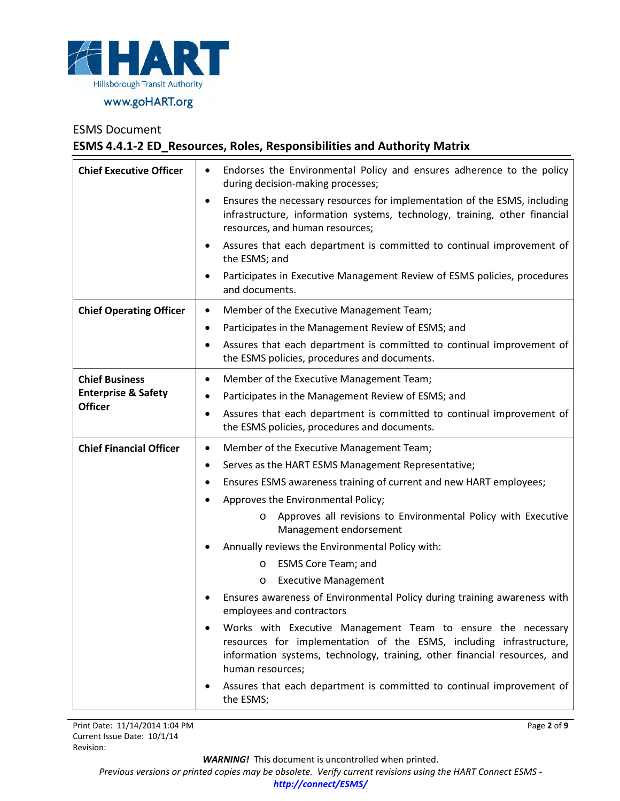

# ESMS Document **ESMS 4.4.1-2 ED\_Resources, Roles, Responsibilities and Authority Matrix**

| <b>Chief Executive Officer</b> | Endorses the Environmental Policy and ensures adherence to the policy<br>during decision-making processes;                                                                                                                           |  |  |  |
|--------------------------------|--------------------------------------------------------------------------------------------------------------------------------------------------------------------------------------------------------------------------------------|--|--|--|
|                                | Ensures the necessary resources for implementation of the ESMS, including<br>٠<br>infrastructure, information systems, technology, training, other financial<br>resources, and human resources;                                      |  |  |  |
|                                | Assures that each department is committed to continual improvement of<br>٠<br>the ESMS; and                                                                                                                                          |  |  |  |
|                                | Participates in Executive Management Review of ESMS policies, procedures<br>٠<br>and documents.                                                                                                                                      |  |  |  |
| <b>Chief Operating Officer</b> | Member of the Executive Management Team;<br>٠                                                                                                                                                                                        |  |  |  |
|                                | Participates in the Management Review of ESMS; and<br>٠                                                                                                                                                                              |  |  |  |
|                                | Assures that each department is committed to continual improvement of<br>٠<br>the ESMS policies, procedures and documents.                                                                                                           |  |  |  |
| <b>Chief Business</b>          | Member of the Executive Management Team;<br>٠                                                                                                                                                                                        |  |  |  |
| <b>Enterprise &amp; Safety</b> | Participates in the Management Review of ESMS; and<br>٠                                                                                                                                                                              |  |  |  |
| <b>Officer</b>                 | Assures that each department is committed to continual improvement of<br>$\bullet$<br>the ESMS policies, procedures and documents.                                                                                                   |  |  |  |
|                                |                                                                                                                                                                                                                                      |  |  |  |
| <b>Chief Financial Officer</b> | Member of the Executive Management Team;<br>$\bullet$                                                                                                                                                                                |  |  |  |
|                                | Serves as the HART ESMS Management Representative;<br>٠                                                                                                                                                                              |  |  |  |
|                                | Ensures ESMS awareness training of current and new HART employees;<br>٠                                                                                                                                                              |  |  |  |
|                                | Approves the Environmental Policy;<br>$\bullet$                                                                                                                                                                                      |  |  |  |
|                                | Approves all revisions to Environmental Policy with Executive<br>$\circ$<br>Management endorsement                                                                                                                                   |  |  |  |
|                                | Annually reviews the Environmental Policy with:                                                                                                                                                                                      |  |  |  |
|                                | <b>ESMS Core Team; and</b><br>O                                                                                                                                                                                                      |  |  |  |
|                                | <b>Executive Management</b><br>$\circ$                                                                                                                                                                                               |  |  |  |
|                                | Ensures awareness of Environmental Policy during training awareness with<br>employees and contractors                                                                                                                                |  |  |  |
|                                | Works with Executive Management Team to ensure the necessary<br>resources for implementation of the ESMS, including infrastructure,<br>information systems, technology, training, other financial resources, and<br>human resources; |  |  |  |

Page **2** of **9**

*WARNING!*This document is uncontrolled when printed.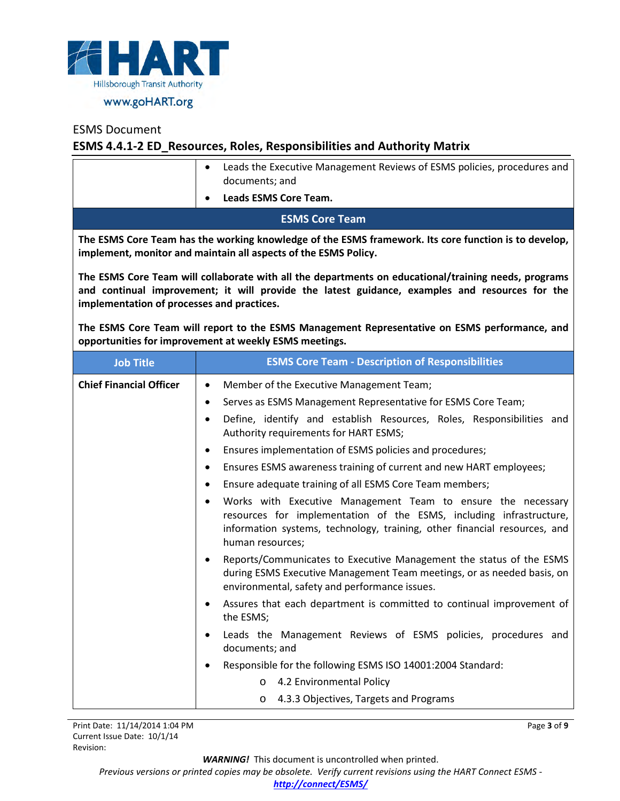

# **ESMS 4.4.1-2 ED\_Resources, Roles, Responsibilities and Authority Matrix**

|                                                                                                                                                                                                                                                      | Leads the Executive Management Reviews of ESMS policies, procedures and<br>$\bullet$<br>documents; and                                                                                                                                            |  |  |  |
|------------------------------------------------------------------------------------------------------------------------------------------------------------------------------------------------------------------------------------------------------|---------------------------------------------------------------------------------------------------------------------------------------------------------------------------------------------------------------------------------------------------|--|--|--|
|                                                                                                                                                                                                                                                      | <b>Leads ESMS Core Team.</b><br>٠                                                                                                                                                                                                                 |  |  |  |
|                                                                                                                                                                                                                                                      |                                                                                                                                                                                                                                                   |  |  |  |
| <b>ESMS Core Team</b>                                                                                                                                                                                                                                |                                                                                                                                                                                                                                                   |  |  |  |
| The ESMS Core Team has the working knowledge of the ESMS framework. Its core function is to develop,<br>implement, monitor and maintain all aspects of the ESMS Policy.                                                                              |                                                                                                                                                                                                                                                   |  |  |  |
| The ESMS Core Team will collaborate with all the departments on educational/training needs, programs<br>and continual improvement; it will provide the latest guidance, examples and resources for the<br>implementation of processes and practices. |                                                                                                                                                                                                                                                   |  |  |  |
| The ESMS Core Team will report to the ESMS Management Representative on ESMS performance, and<br>opportunities for improvement at weekly ESMS meetings.                                                                                              |                                                                                                                                                                                                                                                   |  |  |  |
| <b>Job Title</b>                                                                                                                                                                                                                                     | <b>ESMS Core Team - Description of Responsibilities</b>                                                                                                                                                                                           |  |  |  |
| <b>Chief Financial Officer</b>                                                                                                                                                                                                                       | Member of the Executive Management Team;<br>$\bullet$                                                                                                                                                                                             |  |  |  |
|                                                                                                                                                                                                                                                      | Serves as ESMS Management Representative for ESMS Core Team;<br>٠                                                                                                                                                                                 |  |  |  |
|                                                                                                                                                                                                                                                      | Define, identify and establish Resources, Roles, Responsibilities and<br>$\bullet$<br>Authority requirements for HART ESMS;                                                                                                                       |  |  |  |
|                                                                                                                                                                                                                                                      | Ensures implementation of ESMS policies and procedures;<br>٠                                                                                                                                                                                      |  |  |  |
|                                                                                                                                                                                                                                                      | Ensures ESMS awareness training of current and new HART employees;<br>$\bullet$                                                                                                                                                                   |  |  |  |
|                                                                                                                                                                                                                                                      | Ensure adequate training of all ESMS Core Team members;<br>$\bullet$                                                                                                                                                                              |  |  |  |
|                                                                                                                                                                                                                                                      | Works with Executive Management Team to ensure the necessary<br>$\bullet$<br>resources for implementation of the ESMS, including infrastructure,<br>information systems, technology, training, other financial resources, and<br>human resources; |  |  |  |
|                                                                                                                                                                                                                                                      | Reports/Communicates to Executive Management the status of the ESMS<br>$\bullet$<br>during ESMS Executive Management Team meetings, or as needed basis, on<br>environmental, safety and performance issues.                                       |  |  |  |
|                                                                                                                                                                                                                                                      | Assures that each department is committed to continual improvement of<br>٠<br>the ESMS;                                                                                                                                                           |  |  |  |
|                                                                                                                                                                                                                                                      | Leads the Management Reviews of ESMS policies, procedures and<br>documents; and                                                                                                                                                                   |  |  |  |
|                                                                                                                                                                                                                                                      | Responsible for the following ESMS ISO 14001:2004 Standard:                                                                                                                                                                                       |  |  |  |
|                                                                                                                                                                                                                                                      | 4.2 Environmental Policy<br>$\circ$                                                                                                                                                                                                               |  |  |  |
|                                                                                                                                                                                                                                                      | 4.3.3 Objectives, Targets and Programs<br>$\circ$                                                                                                                                                                                                 |  |  |  |

Page **3** of **9**

*WARNING!*This document is uncontrolled when printed.

*Previous versions or printed copies may be obsolete. Verify current revisions using the HART Connect ESMS -* 

#### *[http://connect/ESMS/](http://connect/ESMS/default.aspx)*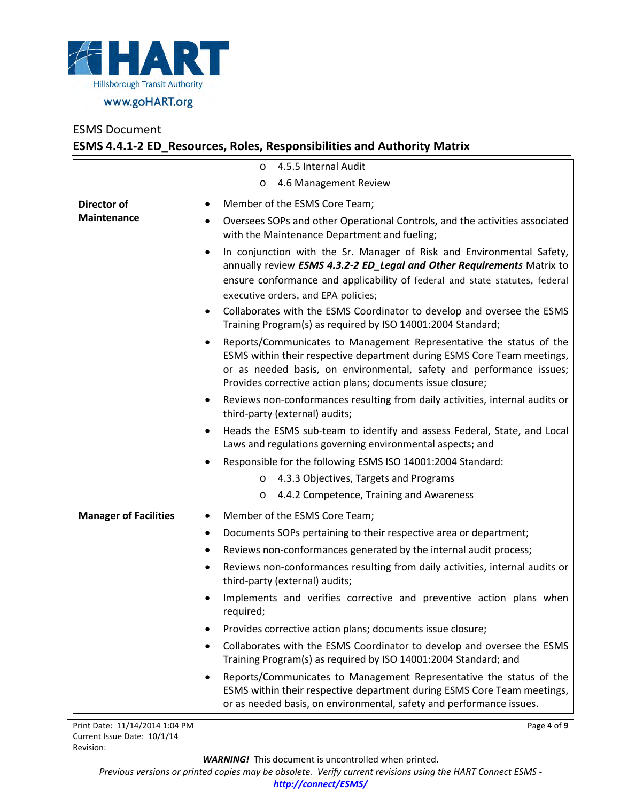

# **ESMS 4.4.1-2 ED\_Resources, Roles, Responsibilities and Authority Matrix**

|                              | 4.5.5 Internal Audit<br>$\circ$                                                                                                                                                                                                                                                                   |
|------------------------------|---------------------------------------------------------------------------------------------------------------------------------------------------------------------------------------------------------------------------------------------------------------------------------------------------|
|                              | 4.6 Management Review<br>O                                                                                                                                                                                                                                                                        |
| Director of                  | Member of the ESMS Core Team;<br>٠                                                                                                                                                                                                                                                                |
| Maintenance                  | Oversees SOPs and other Operational Controls, and the activities associated<br>$\bullet$<br>with the Maintenance Department and fueling;                                                                                                                                                          |
|                              | In conjunction with the Sr. Manager of Risk and Environmental Safety,<br>$\bullet$<br>annually review ESMS 4.3.2-2 ED_Legal and Other Requirements Matrix to<br>ensure conformance and applicability of federal and state statutes, federal<br>executive orders, and EPA policies;                |
|                              | Collaborates with the ESMS Coordinator to develop and oversee the ESMS<br>$\bullet$<br>Training Program(s) as required by ISO 14001:2004 Standard;                                                                                                                                                |
|                              | Reports/Communicates to Management Representative the status of the<br>$\bullet$<br>ESMS within their respective department during ESMS Core Team meetings,<br>or as needed basis, on environmental, safety and performance issues;<br>Provides corrective action plans; documents issue closure; |
|                              | Reviews non-conformances resulting from daily activities, internal audits or<br>٠<br>third-party (external) audits;                                                                                                                                                                               |
|                              | Heads the ESMS sub-team to identify and assess Federal, State, and Local<br>Laws and regulations governing environmental aspects; and                                                                                                                                                             |
|                              | Responsible for the following ESMS ISO 14001:2004 Standard:                                                                                                                                                                                                                                       |
|                              | 4.3.3 Objectives, Targets and Programs<br>$\circ$                                                                                                                                                                                                                                                 |
|                              | 4.4.2 Competence, Training and Awareness<br>O                                                                                                                                                                                                                                                     |
| <b>Manager of Facilities</b> | Member of the ESMS Core Team;<br>$\bullet$                                                                                                                                                                                                                                                        |
|                              | Documents SOPs pertaining to their respective area or department;<br>٠                                                                                                                                                                                                                            |
|                              | Reviews non-conformances generated by the internal audit process;<br>٠                                                                                                                                                                                                                            |
|                              | Reviews non-conformances resulting from daily activities, internal audits or<br>$\bullet$<br>third-party (external) audits;                                                                                                                                                                       |
|                              | Implements and verifies corrective and preventive action plans when<br>required;                                                                                                                                                                                                                  |
|                              | Provides corrective action plans; documents issue closure;<br>٠                                                                                                                                                                                                                                   |
|                              | Collaborates with the ESMS Coordinator to develop and oversee the ESMS<br>Training Program(s) as required by ISO 14001:2004 Standard; and                                                                                                                                                         |
|                              | Reports/Communicates to Management Representative the status of the<br>$\bullet$<br>ESMS within their respective department during ESMS Core Team meetings,<br>or as needed basis, on environmental, safety and performance issues.                                                               |

Page **4** of **9**

*WARNING!*This document is uncontrolled when printed.

*Previous versions or printed copies may be obsolete. Verify current revisions using the HART Connect ESMS -* 

*[http://connect/ESMS/](http://connect/ESMS/default.aspx)*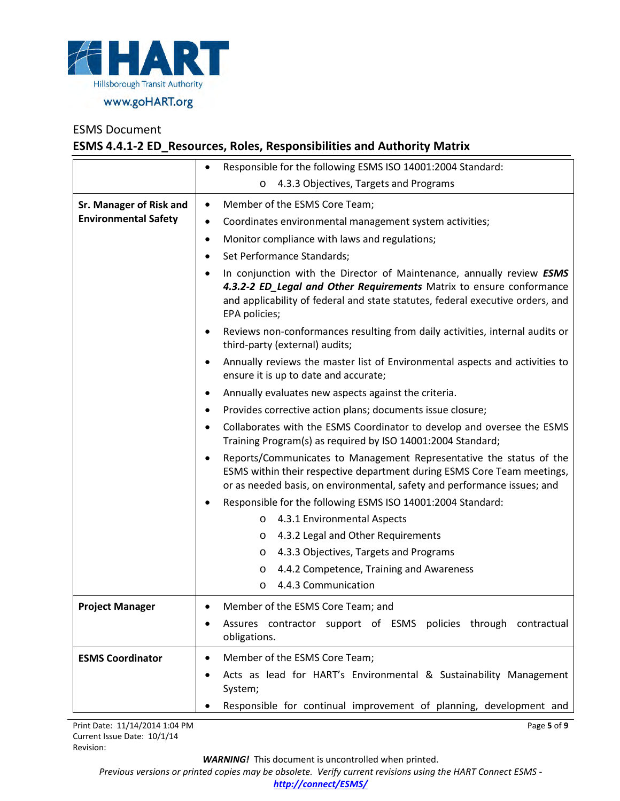

## **ESMS 4.4.1-2 ED\_Resources, Roles, Responsibilities and Authority Matrix**

|                             | Responsible for the following ESMS ISO 14001:2004 Standard:<br>$\bullet$                                                                                                                                                                         |  |  |
|-----------------------------|--------------------------------------------------------------------------------------------------------------------------------------------------------------------------------------------------------------------------------------------------|--|--|
|                             | 4.3.3 Objectives, Targets and Programs<br>$\circ$                                                                                                                                                                                                |  |  |
| Sr. Manager of Risk and     | Member of the ESMS Core Team;<br>$\bullet$                                                                                                                                                                                                       |  |  |
| <b>Environmental Safety</b> | Coordinates environmental management system activities;<br>$\bullet$                                                                                                                                                                             |  |  |
|                             | Monitor compliance with laws and regulations;<br>$\bullet$                                                                                                                                                                                       |  |  |
|                             | Set Performance Standards;                                                                                                                                                                                                                       |  |  |
|                             | In conjunction with the Director of Maintenance, annually review ESMS<br>4.3.2-2 ED Legal and Other Requirements Matrix to ensure conformance<br>and applicability of federal and state statutes, federal executive orders, and<br>EPA policies; |  |  |
|                             | Reviews non-conformances resulting from daily activities, internal audits or<br>third-party (external) audits;                                                                                                                                   |  |  |
|                             | Annually reviews the master list of Environmental aspects and activities to<br>٠<br>ensure it is up to date and accurate;                                                                                                                        |  |  |
|                             | Annually evaluates new aspects against the criteria.<br>٠                                                                                                                                                                                        |  |  |
|                             | Provides corrective action plans; documents issue closure;<br>٠                                                                                                                                                                                  |  |  |
|                             | Collaborates with the ESMS Coordinator to develop and oversee the ESMS<br>$\bullet$<br>Training Program(s) as required by ISO 14001:2004 Standard;                                                                                               |  |  |
|                             | Reports/Communicates to Management Representative the status of the<br>ESMS within their respective department during ESMS Core Team meetings,<br>or as needed basis, on environmental, safety and performance issues; and                       |  |  |
|                             | Responsible for the following ESMS ISO 14001:2004 Standard:<br>٠                                                                                                                                                                                 |  |  |
|                             | 4.3.1 Environmental Aspects<br>$\circ$                                                                                                                                                                                                           |  |  |
|                             | 4.3.2 Legal and Other Requirements<br>$\circ$                                                                                                                                                                                                    |  |  |
|                             | 4.3.3 Objectives, Targets and Programs<br>O                                                                                                                                                                                                      |  |  |
|                             | 4.4.2 Competence, Training and Awareness<br>O                                                                                                                                                                                                    |  |  |
|                             | 4.4.3 Communication<br>O                                                                                                                                                                                                                         |  |  |
| <b>Project Manager</b>      | Member of the ESMS Core Team; and                                                                                                                                                                                                                |  |  |
|                             | Assures contractor support of ESMS policies through contractual<br>obligations.                                                                                                                                                                  |  |  |
| <b>ESMS Coordinator</b>     | Member of the ESMS Core Team;                                                                                                                                                                                                                    |  |  |
|                             | Acts as lead for HART's Environmental & Sustainability Management<br>System;                                                                                                                                                                     |  |  |
|                             | Responsible for continual improvement of planning, development and                                                                                                                                                                               |  |  |

Print Date: 11/14/2014 1:04 PM Current Issue Date: 10/1/14 Revision:

*WARNING!*This document is uncontrolled when printed.

Page **5** of **9**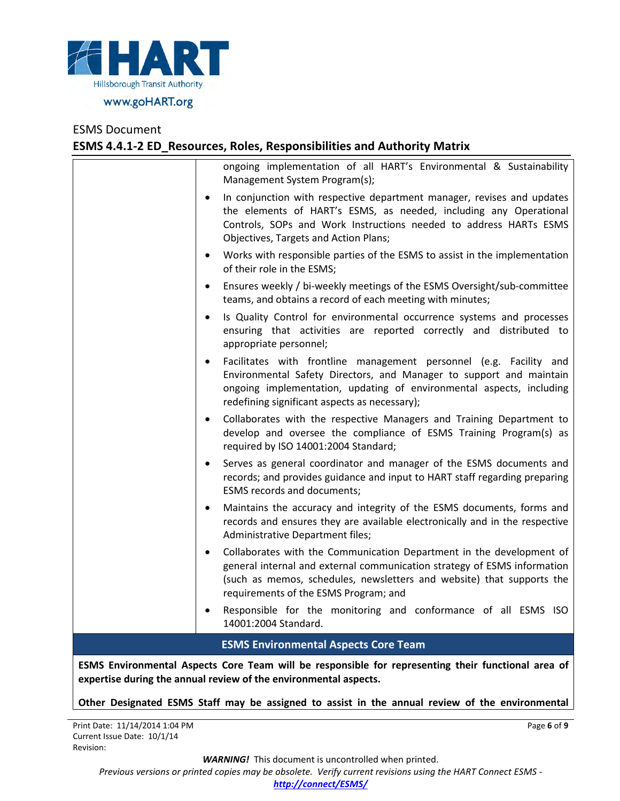

# ESMS Document **ESMS 4.4.1-2 ED\_Resources, Roles, Responsibilities and Authority Matrix**

|           | ESMS Environmental Aspects Core Team will be responsible for representing their functional area of<br>expertise during the annual review of the environmental aspects.                                                                                             |
|-----------|--------------------------------------------------------------------------------------------------------------------------------------------------------------------------------------------------------------------------------------------------------------------|
|           | <b>ESMS Environmental Aspects Core Team</b>                                                                                                                                                                                                                        |
| ٠         | Responsible for the monitoring and conformance of all ESMS ISO<br>14001:2004 Standard.                                                                                                                                                                             |
| $\bullet$ | Collaborates with the Communication Department in the development of<br>general internal and external communication strategy of ESMS information<br>(such as memos, schedules, newsletters and website) that supports the<br>requirements of the ESMS Program; and |
| $\bullet$ | Maintains the accuracy and integrity of the ESMS documents, forms and<br>records and ensures they are available electronically and in the respective<br>Administrative Department files;                                                                           |
|           | Serves as general coordinator and manager of the ESMS documents and<br>records; and provides guidance and input to HART staff regarding preparing<br>ESMS records and documents;                                                                                   |
|           | Collaborates with the respective Managers and Training Department to<br>develop and oversee the compliance of ESMS Training Program(s) as<br>required by ISO 14001:2004 Standard;                                                                                  |
| $\bullet$ | Facilitates with frontline management personnel (e.g. Facility and<br>Environmental Safety Directors, and Manager to support and maintain<br>ongoing implementation, updating of environmental aspects, including<br>redefining significant aspects as necessary); |
| $\bullet$ | Is Quality Control for environmental occurrence systems and processes<br>ensuring that activities are reported correctly and distributed to<br>appropriate personnel;                                                                                              |
|           | Ensures weekly / bi-weekly meetings of the ESMS Oversight/sub-committee<br>teams, and obtains a record of each meeting with minutes;                                                                                                                               |
| $\bullet$ | Works with responsible parties of the ESMS to assist in the implementation<br>of their role in the ESMS;                                                                                                                                                           |
| $\bullet$ | In conjunction with respective department manager, revises and updates<br>the elements of HART's ESMS, as needed, including any Operational<br>Controls, SOPs and Work Instructions needed to address HARTs ESMS<br>Objectives, Targets and Action Plans;          |
|           | ongoing implementation of all HART's Environmental & Sustainability<br>Management System Program(s);                                                                                                                                                               |

**Other Designated ESMS Staff may be assigned to assist in the annual review of the environmental** 

Page **6** of **9**

*WARNING!*This document is uncontrolled when printed.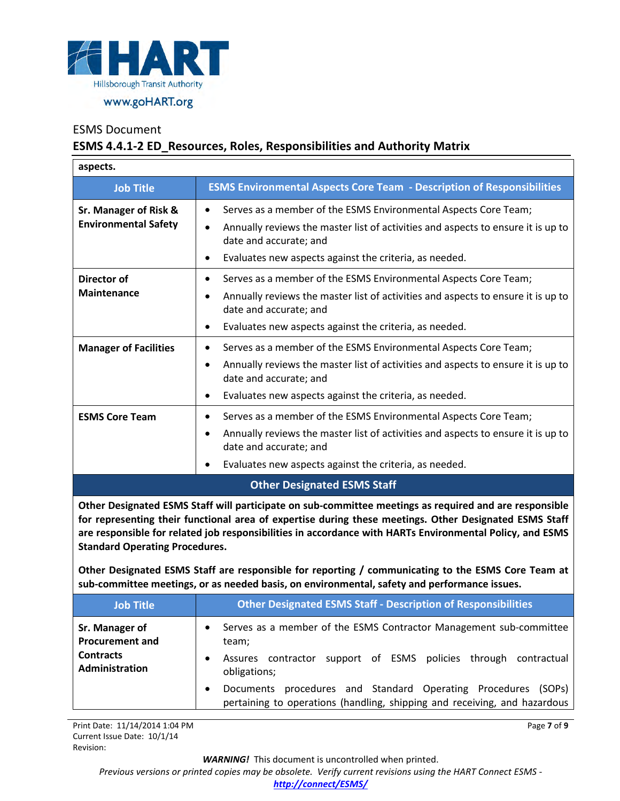

## **ESMS 4.4.1-2 ED\_Resources, Roles, Responsibilities and Authority Matrix**

| aspects.                                             |                                                                                                                                                                                                                                                                |
|------------------------------------------------------|----------------------------------------------------------------------------------------------------------------------------------------------------------------------------------------------------------------------------------------------------------------|
| <b>Job Title</b>                                     | <b>ESMS Environmental Aspects Core Team - Description of Responsibilities</b>                                                                                                                                                                                  |
| Sr. Manager of Risk &<br><b>Environmental Safety</b> | Serves as a member of the ESMS Environmental Aspects Core Team;<br>$\bullet$<br>Annually reviews the master list of activities and aspects to ensure it is up to<br>٠<br>date and accurate; and<br>Evaluates new aspects against the criteria, as needed.<br>٠ |
| Director of<br><b>Maintenance</b>                    | Serves as a member of the ESMS Environmental Aspects Core Team;<br>٠<br>Annually reviews the master list of activities and aspects to ensure it is up to<br>date and accurate; and<br>Evaluates new aspects against the criteria, as needed.<br>٠              |
| <b>Manager of Facilities</b>                         | Serves as a member of the ESMS Environmental Aspects Core Team;<br>Annually reviews the master list of activities and aspects to ensure it is up to<br>$\bullet$<br>date and accurate; and<br>Evaluates new aspects against the criteria, as needed.<br>٠      |
| <b>ESMS Core Team</b>                                | Serves as a member of the ESMS Environmental Aspects Core Team;<br>Annually reviews the master list of activities and aspects to ensure it is up to<br>٠<br>date and accurate; and<br>Evaluates new aspects against the criteria, as needed.<br>٠              |
|                                                      | <b>Other Designated ESMS Staff</b>                                                                                                                                                                                                                             |

**Other Designated ESMS Staff will participate on sub-committee meetings as required and are responsible for representing their functional area of expertise during these meetings. Other Designated ESMS Staff are responsible for related job responsibilities in accordance with HARTs Environmental Policy, and ESMS Standard Operating Procedures.**

**Other Designated ESMS Staff are responsible for reporting / communicating to the ESMS Core Team at sub-committee meetings, or as needed basis, on environmental, safety and performance issues.**

| <b>Job Title</b>                                             | <b>Other Designated ESMS Staff - Description of Responsibilities</b>                                                                                          |
|--------------------------------------------------------------|---------------------------------------------------------------------------------------------------------------------------------------------------------------|
| Sr. Manager of<br><b>Procurement and</b><br><b>Contracts</b> | Serves as a member of the ESMS Contractor Management sub-committee<br>team;                                                                                   |
| Administration                                               | support of ESMS policies through contractual<br>contractor<br>Assures<br>obligations;                                                                         |
|                                                              | procedures and Standard Operating Procedures<br>(SOPs)<br>Documents<br>$\bullet$<br>pertaining to operations (handling, shipping and receiving, and hazardous |

Print Date: 11/14/2014 1:04 PM Current Issue Date: 10/1/14 Revision:

*WARNING!*This document is uncontrolled when printed.

Page **7** of **9**

*Previous versions or printed copies may be obsolete. Verify current revisions using the HART Connect ESMS -* 

*[http://connect/ESMS/](http://connect/ESMS/default.aspx)*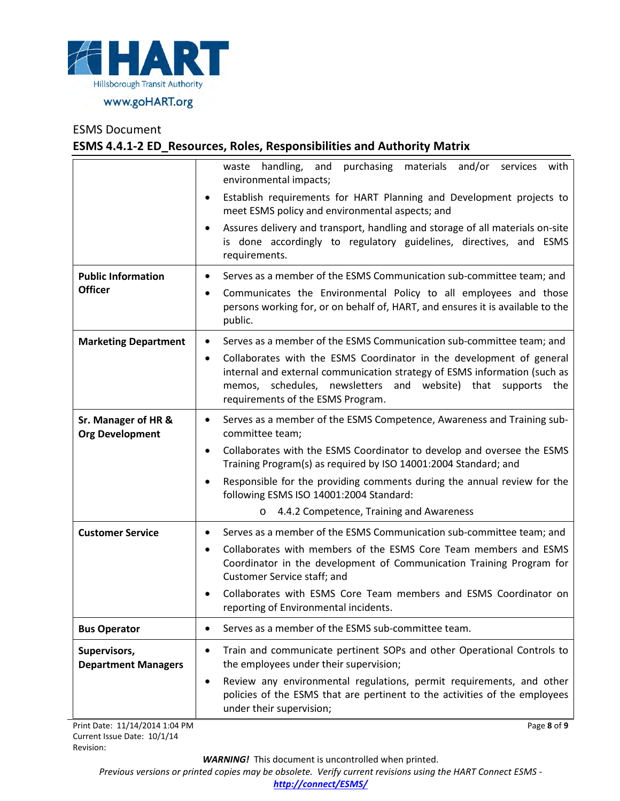

## **ESMS 4.4.1-2 ED\_Resources, Roles, Responsibilities and Authority Matrix**

|                                               | purchasing materials and/or<br>waste handling, and<br>services<br>with<br>environmental impacts;                                                                                                                                                            |
|-----------------------------------------------|-------------------------------------------------------------------------------------------------------------------------------------------------------------------------------------------------------------------------------------------------------------|
|                                               | Establish requirements for HART Planning and Development projects to<br>٠<br>meet ESMS policy and environmental aspects; and                                                                                                                                |
|                                               | Assures delivery and transport, handling and storage of all materials on-site<br>$\bullet$<br>is done accordingly to regulatory guidelines, directives, and ESMS<br>requirements.                                                                           |
| <b>Public Information</b>                     | Serves as a member of the ESMS Communication sub-committee team; and<br>$\bullet$                                                                                                                                                                           |
| <b>Officer</b>                                | Communicates the Environmental Policy to all employees and those<br>٠<br>persons working for, or on behalf of, HART, and ensures it is available to the<br>public.                                                                                          |
| <b>Marketing Department</b>                   | Serves as a member of the ESMS Communication sub-committee team; and<br>$\bullet$                                                                                                                                                                           |
|                                               | Collaborates with the ESMS Coordinator in the development of general<br>٠<br>internal and external communication strategy of ESMS information (such as<br>memos, schedules, newsletters and website) that supports the<br>requirements of the ESMS Program. |
| Sr. Manager of HR &<br><b>Org Development</b> | Serves as a member of the ESMS Competence, Awareness and Training sub-<br>$\bullet$<br>committee team;                                                                                                                                                      |
|                                               | Collaborates with the ESMS Coordinator to develop and oversee the ESMS<br>٠<br>Training Program(s) as required by ISO 14001:2004 Standard; and                                                                                                              |
|                                               | Responsible for the providing comments during the annual review for the<br>$\bullet$<br>following ESMS ISO 14001:2004 Standard:                                                                                                                             |
|                                               | 4.4.2 Competence, Training and Awareness<br>$\circ$                                                                                                                                                                                                         |
| <b>Customer Service</b>                       | Serves as a member of the ESMS Communication sub-committee team; and<br>٠                                                                                                                                                                                   |
|                                               | Collaborates with members of the ESMS Core Team members and ESMS<br>$\bullet$<br>Coordinator in the development of Communication Training Program for<br>Customer Service staff; and                                                                        |
|                                               | Collaborates with ESMS Core Team members and ESMS Coordinator on<br>$\bullet$<br>reporting of Environmental incidents.                                                                                                                                      |
| <b>Bus Operator</b>                           | Serves as a member of the ESMS sub-committee team.<br>٠                                                                                                                                                                                                     |
| Supervisors,<br><b>Department Managers</b>    | Train and communicate pertinent SOPs and other Operational Controls to<br>$\bullet$<br>the employees under their supervision;                                                                                                                               |
|                                               | Review any environmental regulations, permit requirements, and other<br>$\bullet$<br>policies of the ESMS that are pertinent to the activities of the employees<br>under their supervision;                                                                 |

Print Date: 11/14/2014 1:04 PM Current Issue Date: 10/1/14 Revision:

*WARNING!*This document is uncontrolled when printed.

Page **8** of **9**